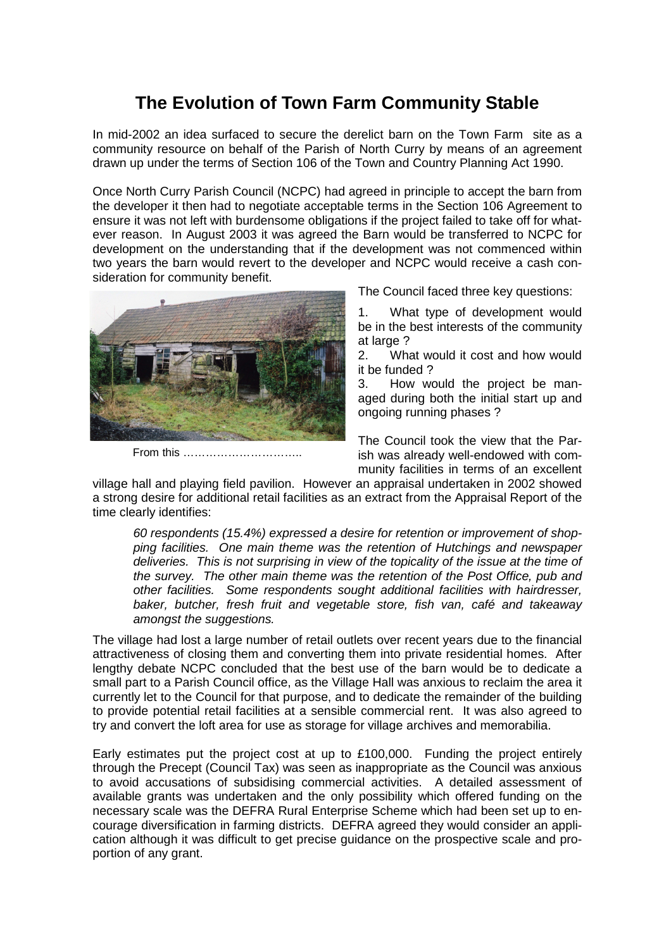## **The Evolution of Town Farm Community Stable**

In mid-2002 an idea surfaced to secure the derelict barn on the Town Farm site as a community resource on behalf of the Parish of North Curry by means of an agreement drawn up under the terms of Section 106 of the Town and Country Planning Act 1990.

Once North Curry Parish Council (NCPC) had agreed in principle to accept the barn from the developer it then had to negotiate acceptable terms in the Section 106 Agreement to ensure it was not left with burdensome obligations if the project failed to take off for whatever reason. In August 2003 it was agreed the Barn would be transferred to NCPC for development on the understanding that if the development was not commenced within two years the barn would revert to the developer and NCPC would receive a cash consideration for community benefit.



From this …………………………..

The Council faced three key questions:

1. What type of development would be in the best interests of the community at large ?

2. What would it cost and how would it be funded ?

3. How would the project be managed during both the initial start up and ongoing running phases ?

The Council took the view that the Parish was already well-endowed with community facilities in terms of an excellent

village hall and playing field pavilion. However an appraisal undertaken in 2002 showed a strong desire for additional retail facilities as an extract from the Appraisal Report of the time clearly identifies:

60 respondents (15.4%) expressed a desire for retention or improvement of shopping facilities. One main theme was the retention of Hutchings and newspaper deliveries. This is not surprising in view of the topicality of the issue at the time of the survey. The other main theme was the retention of the Post Office, pub and other facilities. Some respondents sought additional facilities with hairdresser, baker, butcher, fresh fruit and vegetable store, fish van, café and takeaway amongst the suggestions.

The village had lost a large number of retail outlets over recent years due to the financial attractiveness of closing them and converting them into private residential homes. After lengthy debate NCPC concluded that the best use of the barn would be to dedicate a small part to a Parish Council office, as the Village Hall was anxious to reclaim the area it currently let to the Council for that purpose, and to dedicate the remainder of the building to provide potential retail facilities at a sensible commercial rent. It was also agreed to try and convert the loft area for use as storage for village archives and memorabilia.

Early estimates put the project cost at up to £100,000. Funding the project entirely through the Precept (Council Tax) was seen as inappropriate as the Council was anxious to avoid accusations of subsidising commercial activities. A detailed assessment of available grants was undertaken and the only possibility which offered funding on the necessary scale was the DEFRA Rural Enterprise Scheme which had been set up to encourage diversification in farming districts. DEFRA agreed they would consider an application although it was difficult to get precise guidance on the prospective scale and proportion of any grant.